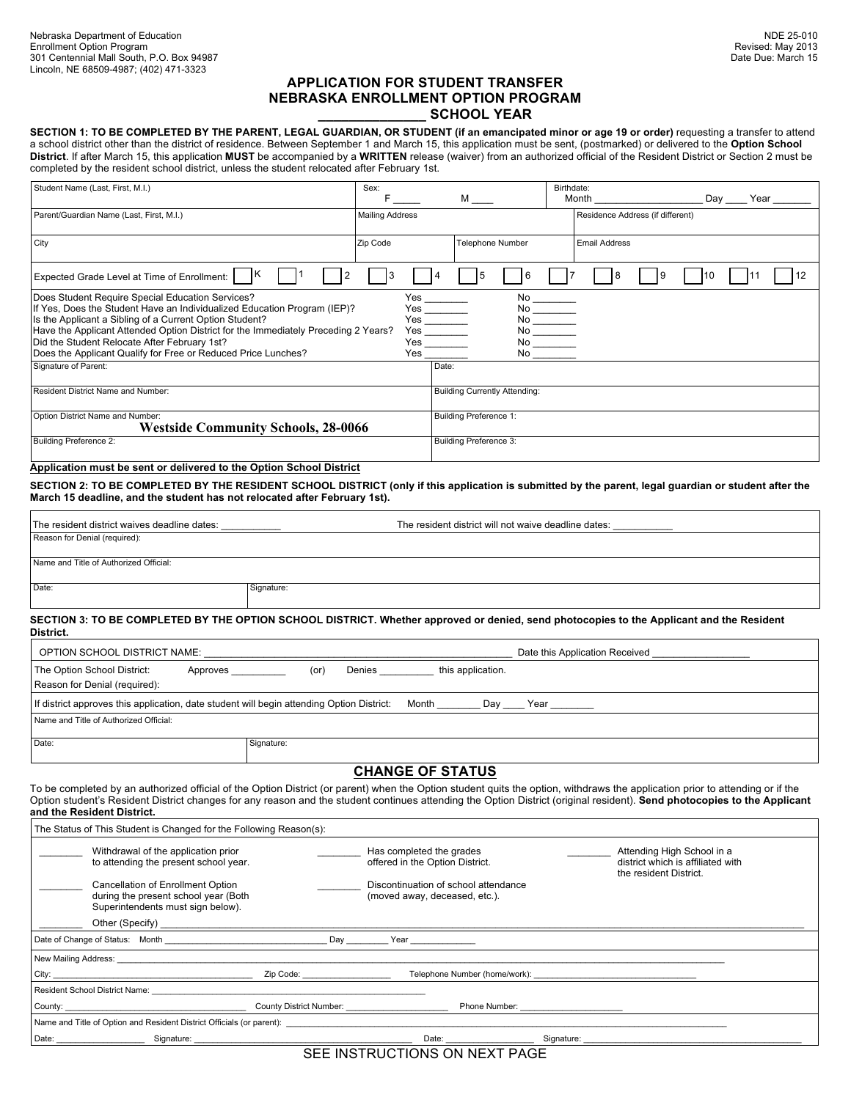# **APPLICATION FOR STUDENT TRANSFER NEBRASKA ENROLLMENT OPTION PROGRAM \_\_\_\_\_\_\_\_\_\_\_\_\_\_ SCHOOL YEAR**

SECTION 1: TO BE COMPLETED BY THE PARENT, LEGAL GUARDIAN, OR STUDENT (if an emancipated minor or age 19 or order) requesting a transfer to attend a school district other than the district of residence. Between September 1 and March 15, this application must be sent, (postmarked) or delivered to the **Option School District**. If after March 15, this application **MUST** be accompanied by a **WRITTEN** release (waiver) from an authorized official of the Resident District or Section 2 must be completed by the resident school district, unless the student relocated after February 1st.

| Student Name (Last, First, M.I.)                                                                                                                                                                                                                                                                                                                                                               | Sex:                   | M <sub>ar</sub>                                                                                                                                                                                                                                                                                                                             |                                                                                          | Birthdate:<br>Month              |  | Day | Year |
|------------------------------------------------------------------------------------------------------------------------------------------------------------------------------------------------------------------------------------------------------------------------------------------------------------------------------------------------------------------------------------------------|------------------------|---------------------------------------------------------------------------------------------------------------------------------------------------------------------------------------------------------------------------------------------------------------------------------------------------------------------------------------------|------------------------------------------------------------------------------------------|----------------------------------|--|-----|------|
| Parent/Guardian Name (Last, First, M.I.)                                                                                                                                                                                                                                                                                                                                                       | <b>Mailing Address</b> |                                                                                                                                                                                                                                                                                                                                             |                                                                                          | Residence Address (if different) |  |     |      |
| City                                                                                                                                                                                                                                                                                                                                                                                           | Zip Code               | Telephone Number                                                                                                                                                                                                                                                                                                                            |                                                                                          | <b>Email Address</b>             |  |     |      |
| Expected Grade Level at Time of Enrollment:                                                                                                                                                                                                                                                                                                                                                    |                        |                                                                                                                                                                                                                                                                                                                                             | 6                                                                                        |                                  |  | 10  | 12   |
| Does Student Require Special Education Services?<br>If Yes, Does the Student Have an Individualized Education Program (IEP)?<br>Is the Applicant a Sibling of a Current Option Student?<br>Have the Applicant Attended Option District for the Immediately Preceding 2 Years?<br>Did the Student Relocate After February 1st?<br>Does the Applicant Qualify for Free or Reduced Price Lunches? | Yes                    | $Yes$ $\overline{\qquad \qquad }$<br>$Yes$ $\overline{\qquad \qquad }$ $Yes$ $\overline{\qquad \qquad }$<br>Yes and the set of the set of the set of the set of the set of the set of the set of the set of the set of the set of the set of the set of the set of the set of the set of the set of the set of the set of the set of the se | No<br>$\begin{array}{c}\nN_0 \\ N_0 \\ N_0 \\ N_0 \\ N_0\n\end{array}$<br>N <sub>0</sub> |                                  |  |     |      |
| Signature of Parent:                                                                                                                                                                                                                                                                                                                                                                           |                        | Date:                                                                                                                                                                                                                                                                                                                                       |                                                                                          |                                  |  |     |      |
| Resident District Name and Number:                                                                                                                                                                                                                                                                                                                                                             |                        | <b>Building Currently Attending:</b>                                                                                                                                                                                                                                                                                                        |                                                                                          |                                  |  |     |      |
| Option District Name and Number:<br><b>Westside Community Schools, 28-0066</b>                                                                                                                                                                                                                                                                                                                 |                        | Building Preference 1:                                                                                                                                                                                                                                                                                                                      |                                                                                          |                                  |  |     |      |
| Building Preference 2:                                                                                                                                                                                                                                                                                                                                                                         |                        | Building Preference 3:                                                                                                                                                                                                                                                                                                                      |                                                                                          |                                  |  |     |      |

**Application must be sent or delivered to the Option School District**

**SECTION 2: TO BE COMPLETED BY THE RESIDENT SCHOOL DISTRICT (only if this application is submitted by the parent, legal guardian or student after the March 15 deadline, and the student has not relocated after February 1st).**

| The resident district waives deadline dates: | The resident district will not waive deadline dates: |  |  |  |
|----------------------------------------------|------------------------------------------------------|--|--|--|
| Reason for Denial (required):                |                                                      |  |  |  |
|                                              |                                                      |  |  |  |
| Name and Title of Authorized Official:       |                                                      |  |  |  |
| Date:                                        | Signature:                                           |  |  |  |
|                                              |                                                      |  |  |  |

**SECTION 3: TO BE COMPLETED BY THE OPTION SCHOOL DISTRICT. Whether approved or denied, send photocopies to the Applicant and the Resident District.**

| OPTION SCHOOL DISTRICT NAME:                                                                                      |                                     | Date this Application Received |
|-------------------------------------------------------------------------------------------------------------------|-------------------------------------|--------------------------------|
| The Option School District:<br>Approves<br>Reason for Denial (required):                                          | this application.<br>Denies<br>(or) |                                |
| If district approves this application, date student will begin attending Option District:<br>Month<br>Year<br>Day |                                     |                                |
| Name and Title of Authorized Official:                                                                            |                                     |                                |
| Date:                                                                                                             | Signature:                          |                                |

# **CHANGE OF STATUS**

To be completed by an authorized official of the Option District (or parent) when the Option student quits the option, withdraws the application prior to attending or if the Option student's Resident District changes for any reason and the student continues attending the Option District (original resident). **Send photocopies to the Applicant and the Resident District.**

| The Status of This Student is Changed for the Following Reason(s):                                                                                                                                                             |                                     |                                                                                                                                                                                                                                |                                                                                           |  |  |
|--------------------------------------------------------------------------------------------------------------------------------------------------------------------------------------------------------------------------------|-------------------------------------|--------------------------------------------------------------------------------------------------------------------------------------------------------------------------------------------------------------------------------|-------------------------------------------------------------------------------------------|--|--|
| Withdrawal of the application prior<br>to attending the present school year.                                                                                                                                                   |                                     | Has completed the grades<br>offered in the Option District.                                                                                                                                                                    | Attending High School in a<br>district which is affiliated with<br>the resident District. |  |  |
| Cancellation of Enrollment Option<br>during the present school year (Both<br>Superintendents must sign below).                                                                                                                 |                                     | Discontinuation of school attendance<br>(moved away, deceased, etc.).                                                                                                                                                          |                                                                                           |  |  |
|                                                                                                                                                                                                                                |                                     |                                                                                                                                                                                                                                |                                                                                           |  |  |
| Date of Change of Status: Month                                                                                                                                                                                                |                                     | Day                                                                                                                                                                                                                            |                                                                                           |  |  |
| New Mailing Address: New York and Services and Services and Services and Services and Services and Services and Services and Services and Services and Services and Services and Services and Services and Services and Servic |                                     |                                                                                                                                                                                                                                |                                                                                           |  |  |
|                                                                                                                                                                                                                                | Zip Code: The Contract of the Code: |                                                                                                                                                                                                                                |                                                                                           |  |  |
| Resident School District Name:                                                                                                                                                                                                 |                                     |                                                                                                                                                                                                                                |                                                                                           |  |  |
| County: the country of the country of the country of the country of the country of the country of the country of the country of the country of the country of the country of the country of the country of the country of the  |                                     | County District Number:<br>Phone Number: ________________                                                                                                                                                                      |                                                                                           |  |  |
| Name and Title of Option and Resident District Officials (or parent):                                                                                                                                                          |                                     |                                                                                                                                                                                                                                |                                                                                           |  |  |
|                                                                                                                                                                                                                                |                                     | Date: the contract of the contract of the contract of the contract of the contract of the contract of the contract of the contract of the contract of the contract of the contract of the contract of the contract of the cont |                                                                                           |  |  |